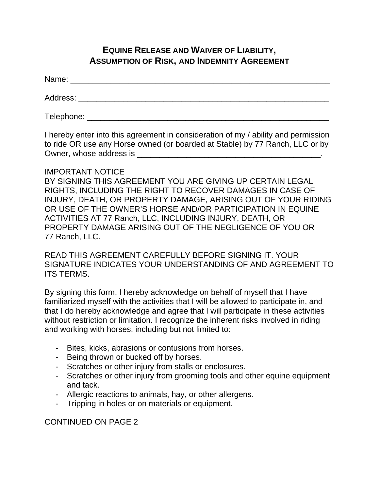## **EQUINE RELEASE AND WAIVER OF LIABILITY, ASSUMPTION OF RISK, AND INDEMNITY AGREEMENT**

Name: \_\_\_\_\_\_\_\_\_\_\_\_\_\_\_\_\_\_\_\_\_\_\_\_\_\_\_\_\_\_\_\_\_\_\_\_\_\_\_\_\_\_\_\_\_\_\_\_\_\_\_\_\_\_\_\_\_\_

Address: \_\_\_\_\_\_\_\_\_\_\_\_\_\_\_\_\_\_\_\_\_\_\_\_\_\_\_\_\_\_\_\_\_\_\_\_\_\_\_\_\_\_\_\_\_\_\_\_\_\_\_\_\_\_\_\_

Telephone: \_\_\_\_\_\_\_\_\_\_\_\_\_\_\_\_\_\_\_\_\_\_\_\_\_\_\_\_\_\_\_\_\_\_\_\_\_\_\_\_\_\_\_\_\_\_\_\_\_\_\_\_\_\_

I hereby enter into this agreement in consideration of my / ability and permission to ride OR use any Horse owned (or boarded at Stable) by 77 Ranch, LLC or by Owner, whose address is **EXECUTE:**  $\alpha$  and  $\alpha$  and  $\alpha$  and  $\alpha$  and  $\alpha$  and  $\alpha$  and  $\alpha$  and  $\alpha$  and  $\alpha$  and  $\alpha$  and  $\alpha$  and  $\alpha$  and  $\alpha$  and  $\alpha$  and  $\alpha$  and  $\alpha$  and  $\alpha$  and  $\alpha$  and  $\alpha$  and  $\alpha$  and  $\alpha$  an

## IMPORTANT NOTICE

BY SIGNING THIS AGREEMENT YOU ARE GIVING UP CERTAIN LEGAL RIGHTS, INCLUDING THE RIGHT TO RECOVER DAMAGES IN CASE OF INJURY, DEATH, OR PROPERTY DAMAGE, ARISING OUT OF YOUR RIDING OR USE OF THE OWNER'S HORSE AND/OR PARTICIPATION IN EQUINE ACTIVITIES AT 77 Ranch, LLC, INCLUDING INJURY, DEATH, OR PROPERTY DAMAGE ARISING OUT OF THE NEGLIGENCE OF YOU OR 77 Ranch, LLC.

READ THIS AGREEMENT CAREFULLY BEFORE SIGNING IT. YOUR SIGNATURE INDICATES YOUR UNDERSTANDING OF AND AGREEMENT TO ITS TERMS.

By signing this form, I hereby acknowledge on behalf of myself that I have familiarized myself with the activities that I will be allowed to participate in, and that I do hereby acknowledge and agree that I will participate in these activities without restriction or limitation. I recognize the inherent risks involved in riding and working with horses, including but not limited to:

- Bites, kicks, abrasions or contusions from horses.
- Being thrown or bucked off by horses.
- Scratches or other injury from stalls or enclosures.
- Scratches or other injury from grooming tools and other equine equipment and tack.
- Allergic reactions to animals, hay, or other allergens.
- Tripping in holes or on materials or equipment.

CONTINUED ON PAGE 2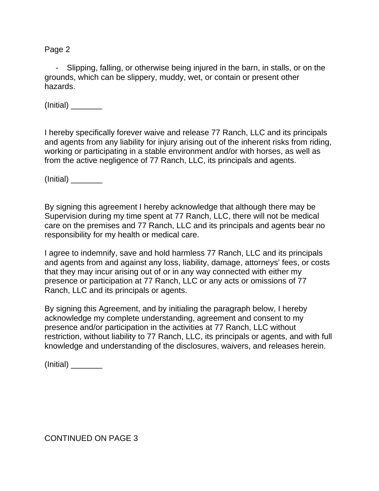Page 2

Slipping, falling, or otherwise being injured in the barn, in stalls, or on the grounds, which can be slippery, muddy, wet, or contain or present other hazards.

(Initial) \_\_\_\_\_\_\_

I hereby specifically forever waive and release 77 Ranch, LLC and its principals and agents from any liability for injury arising out of the inherent risks from riding, working or participating in a stable environment and/or with horses, as well as from the active negligence of 77 Ranch, LLC, its principals and agents.

(Initial) \_\_\_\_\_\_\_

By signing this agreement I hereby acknowledge that although there may be Supervision during my time spent at 77 Ranch, LLC, there will not be medical care on the premises and 77 Ranch, LLC and its principals and agents bear no responsibility for my health or medical care.

I agree to indemnify, save and hold harmless 77 Ranch, LLC and its principals and agents from and against any loss, liability, damage, attorneys' fees, or costs that they may incur arising out of or in any way connected with either my presence or participation at 77 Ranch, LLC or any acts or omissions of 77 Ranch, LLC and its principals or agents.

By signing this Agreement, and by initialing the paragraph below, I hereby acknowledge my complete understanding, agreement and consent to my presence and/or participation in the activities at 77 Ranch, LLC without restriction, without liability to 77 Ranch, LLC, its principals or agents, and with full knowledge and understanding of the disclosures, waivers, and releases herein.

(Initial) \_\_\_\_\_\_\_

CONTINUED ON PAGE 3